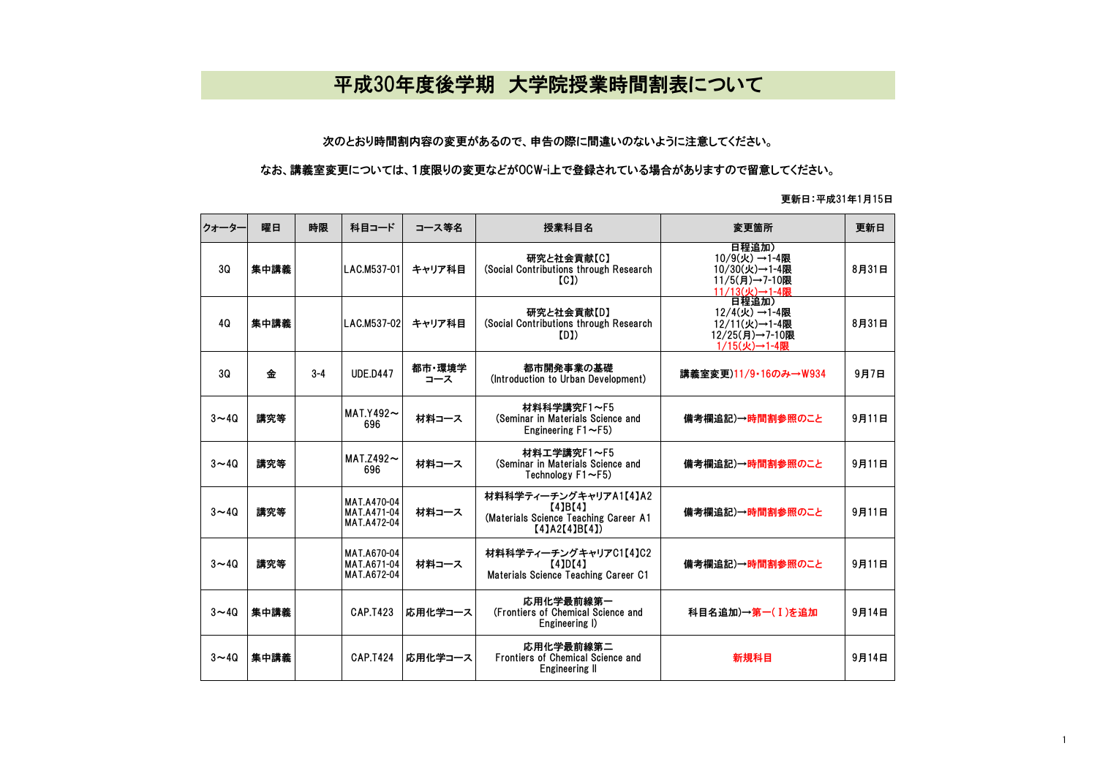## 平成30年度後学期 大学院授業時間割表について

## 次のとおり時間割内容の変更があるので、申告の際に間違いのないように注意してください。

## なお、講義室変更については、1度限りの変更などがOCW-i上で登録されている場合がありますので留意してください。

## 更新日:平成31年1月15日

| クォーター    | 曜日   | 時限      | 科目コード                                            | コース等名         | 授業科目名                                                                                     | 変更箇所                                                                     | 更新日   |
|----------|------|---------|--------------------------------------------------|---------------|-------------------------------------------------------------------------------------------|--------------------------------------------------------------------------|-------|
| 3Q       | 集中講義 |         | LAC.M537-01                                      | キャリア科目        | 研究と社会貢献【C】<br>(Social Contributions through Research<br>(C <sub>1</sub> )                 | 日程追加)<br>10/9(火)→1-4限<br>10/30(火)→1-4限<br>11/5(月)→7-10限<br>11/13(火)→1-4限 | 8月31日 |
| 40       | 集中講義 |         | LAC.M537-02                                      | キャリア科目        | 研究と社会貢献【D】<br>(Social Contributions through Research<br>(DI)                              | 日程追加)<br>12/4(火)→1-4限<br>12/11(火)→1-4限<br>12/25(月)→7-10限<br>1/15(火)→1-4限 | 8月31日 |
| 30       | 金    | $3 - 4$ | <b>UDE.D447</b>                                  | 都市·環境学<br>コース | 都市開発事業の基礎<br>(Introduction to Urban Development)                                          | 講義室変更)11/9·16のみ→W934                                                     | 9月7日  |
| $3 - 40$ | 講究等  |         | $MAT.Y492 \sim$<br>696                           | 材料コース         | 材料科学講究F1~F5<br>(Seminar in Materials Science and<br>Engineering $F1 \sim F5$ )            | 備考欄追記)→時間割参照のこと                                                          | 9月11日 |
| $3 - 40$ | 講究等  |         | MAT.Z492 $\sim$<br>696                           | 材料コース         | 材料工学講究F1~F5<br>(Seminar in Materials Science and<br>Technology F1~F5)                     | 備考欄追記)→時間割参照のこと                                                          | 9月11日 |
| $3 - 40$ | 講究等  |         | MAT.A470-04<br><b>MAT.A471-04</b><br>MAT.A472-04 | 材料コース         | 材料科学ティーチングキャリアA1【4】A2<br>[4]B[4]<br>(Materials Science Teaching Career A1<br>[4]A2[4]B[4] | 備考欄追記)→時間割参照のこと                                                          | 9月11日 |
| $3 - 40$ | 講究等  |         | MAT.A670-04<br>MAT.A671-04<br>MAT.A672-04        | 材料コース         | 材料科学ティーチングキャリアC1【4】C2<br>[4]D[4]<br>Materials Science Teaching Career C1                  | 備考欄追記)→時間割参照のこと                                                          | 9月11日 |
| $3 - 40$ | 集中講義 |         | CAP.T423                                         | 応用化学コース       | 応用化学最前線第一<br>(Frontiers of Chemical Science and<br>Engineering I)                         | 科目名追加)→第一(Ⅰ)を追加                                                          | 9月14日 |
| $3 - 40$ | 集中講義 |         | CAP.T424                                         | 応用化学コース       | 応用化学最前線第二<br><b>Frontiers of Chemical Science and</b><br><b>Engineering II</b>            | 新規科目                                                                     | 9月14日 |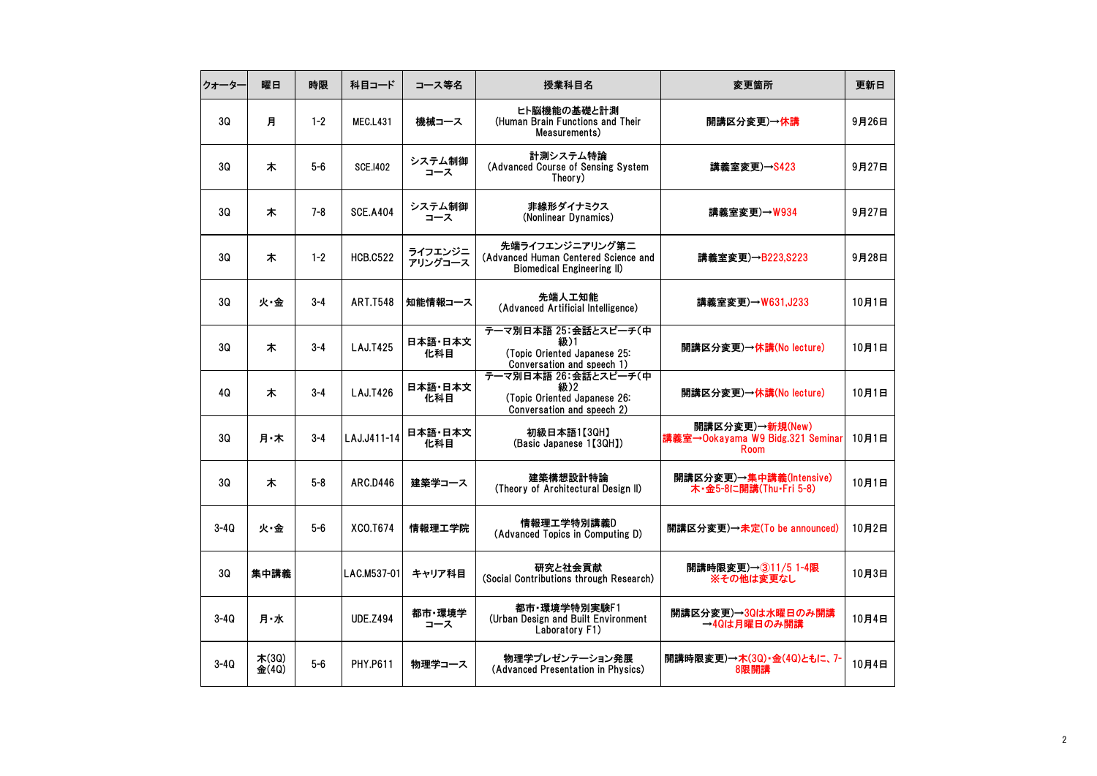| クォーター    | 曜日             | 時限      | 科目コード           | コース等名              | 授業科目名                                                                                     | 変更箇所                                                        | 更新日   |
|----------|----------------|---------|-----------------|--------------------|-------------------------------------------------------------------------------------------|-------------------------------------------------------------|-------|
| 3Q       | 月              | $1 - 2$ | <b>MEC.L431</b> | 機械コース              | ヒト脳機能の基礎と計測<br>(Human Brain Functions and Their<br>Measurements)                          | 開講区分変更)→休講                                                  | 9月26日 |
| 30       | 木              | 5-6     | <b>SCE.1402</b> | システム制御<br>コース      | 計測システム特論<br>(Advanced Course of Sensing System<br>Theory)                                 | 講義室変更)→S423                                                 | 9月27日 |
| 30       | 木              | $7 - 8$ | <b>SCE.A404</b> | システム制御<br>コース      | 非線形ダイナミクス<br>(Nonlinear Dynamics)                                                         | 講義室変更)→W934                                                 | 9月27日 |
| 30       | 木              | $1 - 2$ | <b>HCB.C522</b> | ライフエンジニ<br>アリングコース | 先端ライフエンジニアリング第二<br>(Advanced Human Centered Science and<br>Biomedical Engineering II)     | 講義室変更)→B223,S223                                            | 9月28日 |
| 30       | 火·金            | $3 - 4$ | <b>ART.T548</b> | 知能情報コース            | 先端人工知能<br>(Advanced Artificial Intelligence)                                              | 講義室変更)→W631,J233                                            | 10月1日 |
| 30       | 木              | $3 - 4$ | LAJ.T425        | 日本語·日本文<br>化科目     | テーマ別日本語 25:会話とスピーチ(中<br>級)1<br>(Topic Oriented Japanese 25:<br>Conversation and speech 1) | 開講区分変更)→休講(No lecture)                                      | 10月1日 |
| 4Q       | 木              | $3 - 4$ | LAJ.T426        | 日本語·日本文<br>化科目     | テーマ別日本語 26:会話とスピーチ(中<br>級)2<br>(Topic Oriented Japanese 26:<br>Conversation and speech 2) | 開講区分変更)→休講(No lecture)                                      | 10月1日 |
| 3Q       | 月·木            | $3 - 4$ | LAJ.J411-14     | 日本語・日本文<br>化科目     | 初級日本語1【3QH】<br>(Basic Japanese 1【3QH】)                                                    | 開講区分変更)→新規(New)<br>講義室→Ookayama W9 Bidg.321 Seminar<br>Room | 10月1日 |
| 3Q       | 木              | $5 - 8$ | <b>ARC.D446</b> | 建築学コース             | 建築構想設計特論<br>(Theory of Architectural Design II)                                           | 開講区分変更)→集中講義(Intensive)<br>木・金5-8に開講(Thu・Fri 5-8)           | 10月1日 |
| $3-4Q$   | 火·金            | $5-6$   | XCO.T674        | 情報理工学院             | 情報理工学特別講義D<br>(Advanced Topics in Computing D)                                            | 開講区分変更)→未定(To be announced)                                 | 10月2日 |
| 30       | 集中講義           |         | LAC.M537-01     | キャリア科目             | 研究と社会貢献<br>(Social Contributions through Research)                                        | 開講時限変更)→311/5 1-4限<br>※その他は変更なし                             | 10月3日 |
| $3 - 40$ | 月・水            |         | <b>UDE.Z494</b> | 都市·環境学<br>コース      | 都市·環境学特別実験F1<br>(Urban Design and Built Environment<br>Laboratory F1)                     | 開講区分変更)→3Qは水曜日のみ開講<br>→4Qは月曜日のみ開講                           | 10月4日 |
| $3-4Q$   | 木(30)<br>金(40) | $5-6$   | <b>PHY.P611</b> | 物理学コース             | 物理学プレゼンテーション発展<br>(Advanced Presentation in Physics)                                      | 開講時限変更)→木(3Q)·金(4Q)ともに、7-<br>8限開講                           | 10月4日 |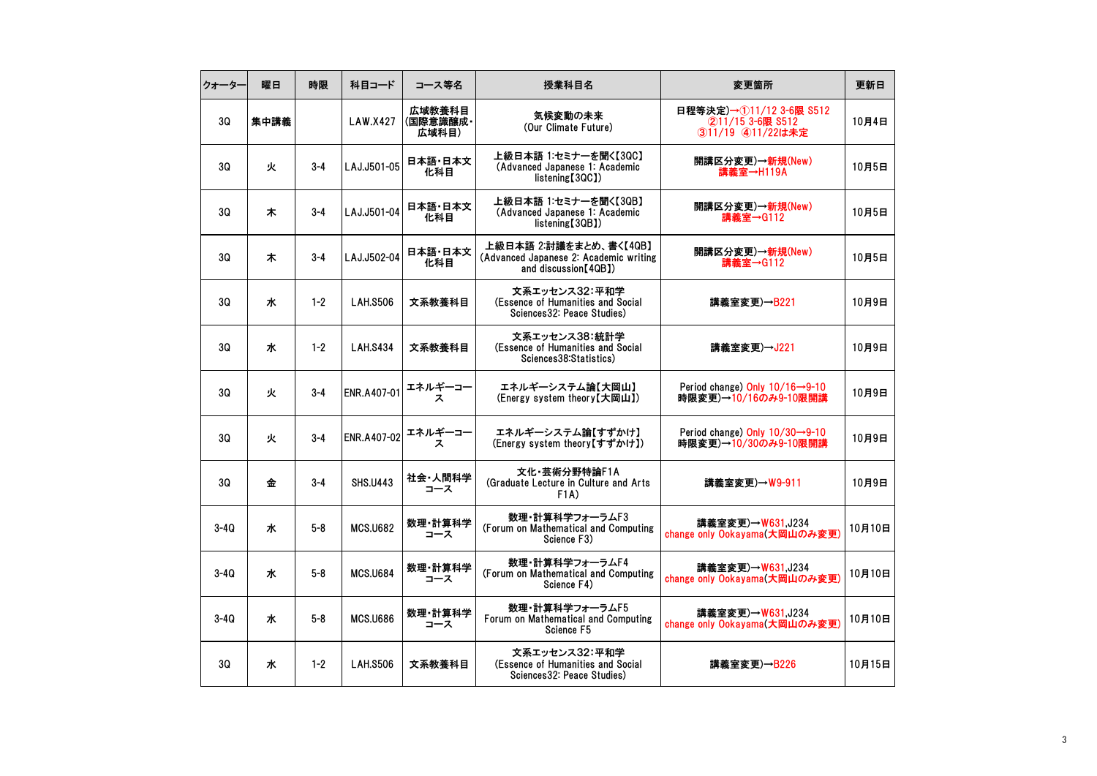| クォーター  | 曜日   | 時限      | 科目コード           | コース等名                       | 授業科目名                                                                                      | 変更箇所                                                                 | 更新日    |
|--------|------|---------|-----------------|-----------------------------|--------------------------------------------------------------------------------------------|----------------------------------------------------------------------|--------|
| 30     | 集中講義 |         | LAW.X427        | 広域教養科目<br>(国際意識醸成・<br>広域科目) | 気候変動の未来<br>(Our Climate Future)                                                            | 日程等決定)→11/12 3-6限 S512<br>②11/15 3-6限 S512<br>311/19 411/22は未定       | 10月4日  |
| 30     | 火    | 3-4     | LAJ.J501-05     | 日本語·日本文<br>化科目              | 上級日本語 1:セミナーを聞く【3QC】<br>(Advanced Japanese 1: Academic<br>listening[3QC])                  | 開講区分変更)→新規(New)<br>講義室→H119A                                         | 10月5日  |
| 30     | 木    | $3 - 4$ | LAJ.J501-04     | 日本語·日本文<br>化科目              | 上級日本語 1:セミナーを聞く【3QB】<br>(Advanced Japanese 1: Academic<br>listening (3QB)                  | 開講区分変更)→新規(New)<br>講義室→G112                                          | 10月5日  |
| 3Q     | 木    | $3 - 4$ | LAJ.J502-04     | 日本語·日本文<br>化科目              | 上級日本語 2:討議をまとめ、書く【4QB】<br>(Advanced Japanese 2: Academic writing)<br>and discussion [40B]) | 開講区分変更)→新規(New)<br>講義室→G112                                          | 10月5日  |
| 30     | ж    | $1 - 2$ | <b>LAH.S506</b> | 文系教養科目                      | 文系エッセンス32:平和学<br>(Essence of Humanities and Social<br>Sciences32: Peace Studies)           | 講義室変更)→B221                                                          | 10月9日  |
| 3Q     | ж    | $1 - 2$ | <b>LAH.S434</b> | 文系教養科目                      | 文系エッセンス38:統計学<br>(Essence of Humanities and Social<br>Sciences38:Statistics)               | 講義室変更)→J221                                                          | 10月9日  |
| 30     | 火    | $3 - 4$ | ENR.A407-01     | エネルギーコー<br>ス                | エネルギーシステム論【大岡山】<br>(Energy system theory【大岡山】)                                             | Period change) Only $10/16 \rightarrow 9-10$<br>時限変更)→10/16のみ9-10限開講 | 10月9日  |
| 30     | 火    | $3 - 4$ | ENR.A407-02     | エネルギーコー<br>ス                | エネルギーシステム論【すずかけ】<br>(Energy system theory【すずかけ】)                                           | Period change) Only $10/30 \rightarrow 9-10$<br>時限変更)→10/30のみ9-10限開講 | 10月9日  |
| 30     | 金    | $3 - 4$ | <b>SHS.U443</b> | 社会・人間科学<br>コース              | 文化·芸術分野特論F1A<br>(Graduate Lecture in Culture and Arts)<br>F1A)                             | 講義室変更)→W9-911                                                        | 10月9日  |
| $3-4Q$ | ж    | $5 - 8$ | <b>MCS.U682</b> | 数理·計算科学<br>コース              | 数理・計算科学フォーラムF3<br>(Forum on Mathematical and Computing<br>Science F3)                      | 講義室変更)→W631,J234<br>change only Ookayama(大岡山のみ変更)                    | 10月10日 |
| $3-4Q$ | ж    | $5 - 8$ | <b>MCS.U684</b> | 数理·計算科学<br>コース              | 数理・計算科学フォーラムF4<br>(Forum on Mathematical and Computing<br>Science F4)                      | 講義室変更)→W631,J234<br>change only Ookayama(大岡山のみ変更)                    | 10月10日 |
| $3-4Q$ | ж    | $5 - 8$ | <b>MCS.U686</b> | 数理·計算科学<br>コース              | 数理・計算科学フォーラムF5<br>Forum on Mathematical and Computing<br>Science F5                        | 講義室変更)→W631,J234<br>change only Ookayama(大岡山のみ変更)                    | 10月10日 |
| 3Q     | ж    | $1 - 2$ | <b>LAH.S506</b> | 文系教養科目                      | 文系エッセンス32:平和学<br>(Essence of Humanities and Social<br>Sciences32: Peace Studies)           | 講義室変更)→B226                                                          | 10月15日 |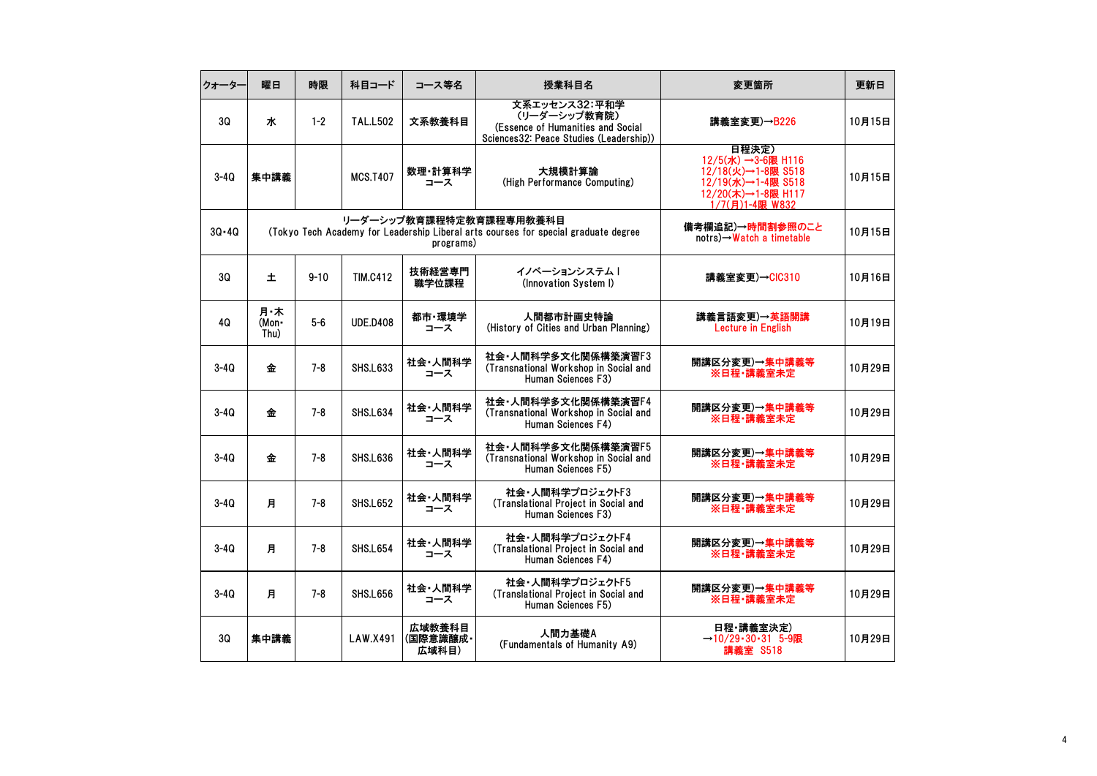| クォーター     | 曜日                   | 時限       | 科目コード           | コース等名                       | 授業科目名                                                                                                          | 変更箇所                                                                                                             | 更新日    |
|-----------|----------------------|----------|-----------------|-----------------------------|----------------------------------------------------------------------------------------------------------------|------------------------------------------------------------------------------------------------------------------|--------|
| 30        | ж                    | $1 - 2$  | <b>TAL.L502</b> | 文系教養科目                      | 文系エッセンス32:平和学<br>(リーダーシップ教育院)<br>(Essence of Humanities and Social<br>Sciences32: Peace Studies (Leadership))  | 講義室変更)→B226                                                                                                      | 10月15日 |
| $3-4Q$    | 集中講義                 |          | <b>MCS.T407</b> | 数理·計算科学<br>コース              | 大規模計算論<br>(High Performance Computing)                                                                         | 日程決定)<br>12/5(水) →3-6限 H116<br>12/18(火)→1-8限 S518<br>12/19(水)→1-4限 S518<br>12/20(木)→1-8限 H117<br>1/7(月)1-4限 W832 | 10月15日 |
| $3Q - 4Q$ |                      |          |                 | programs)                   | リーダーシップ教育課程特定教育課程専用教養科目<br>(Tokyo Tech Academy for Leadership Liberal arts courses for special graduate degree | 備考欄追記)→時間割参照のこと<br>$notrs) \rightarrow Watch$ a timetable                                                        | 10月15日 |
| 3Q        | 土                    | $9 - 10$ | <b>TIM.C412</b> | 技術経営専門<br>職学位課程             | イノベーションシステム  <br>(Innovation System I)                                                                         | 講義室変更)→CIC310                                                                                                    | 10月16日 |
| 40        | 月・木<br>(Mon-<br>Thu) | $5-6$    | <b>UDE.D408</b> | 都市·環境学<br>コース               | 人間都市計画史特論<br>(History of Cities and Urban Planning)                                                            | 講義言語変更)→英語開講<br><b>Lecture in English</b>                                                                        | 10月19日 |
| $3-4Q$    | 金                    | $7 - 8$  | <b>SHS.L633</b> | 社会・人間科学<br>コース              | 社会·人間科学多文化関係構築演習F3<br>(Transnational Workshop in Social and<br>Human Sciences F3)                              | 開講区分変更)→集中講義等<br>※日程・講義室未定                                                                                       | 10月29日 |
| $3-4Q$    | 金                    | $7 - 8$  | <b>SHS.L634</b> | 社会·人間科学<br>コース              | 社会·人間科学多文化関係構築演習F4<br>(Transnational Workshop in Social and<br>Human Sciences F4)                              | 開講区分変更)→集中講義等<br>※日程·講義室未定                                                                                       | 10月29日 |
| $3 - 40$  | 金                    | $7 - 8$  | <b>SHS.L636</b> | 社会・人間科学<br>コース              | 社会·人間科学多文化関係構築演習F5<br>(Transnational Workshop in Social and<br>Human Sciences F5)                              | 開講区分変更)→集中講義等<br>※日程・講義室未定                                                                                       | 10月29日 |
| $3 - 40$  | 月                    | $7 - 8$  | <b>SHS.L652</b> | 社会・人間科学<br>コース              | 社会・人間科学プロジェクトF3<br>(Translational Project in Social and<br>Human Sciences F3)                                  | 開講区分変更)→集中講義等<br>※日程·講義室未定                                                                                       | 10月29日 |
| $3-4Q$    | 月                    | $7 - 8$  | <b>SHS.L654</b> | 社会・人間科学<br>コース              | 社会・人間科学プロジェクトF4<br>(Translational Project in Social and<br>Human Sciences F4)                                  | 開講区分変更)→集中講義等<br>※日程・講義室未定                                                                                       | 10月29日 |
| $3-4Q$    | 月                    | $7 - 8$  | <b>SHS.L656</b> | 社会・人間科学<br>コース              | 社会・人間科学プロジェクトF5<br>(Translational Project in Social and<br>Human Sciences F5)                                  | 開講区分変更)→集中講義等<br>※日程・講義室未定                                                                                       | 10月29日 |
| 30        | 集中講義                 |          | LAW.X491        | 広域教養科目<br>(国際意識醸成·<br>広域科目) | 人間力基礎A<br>(Fundamentals of Humanity A9)                                                                        | 日程・講義室決定)<br>$\rightarrow$ 10/29・30・31 5-9限<br>講義室 S518                                                          | 10月29日 |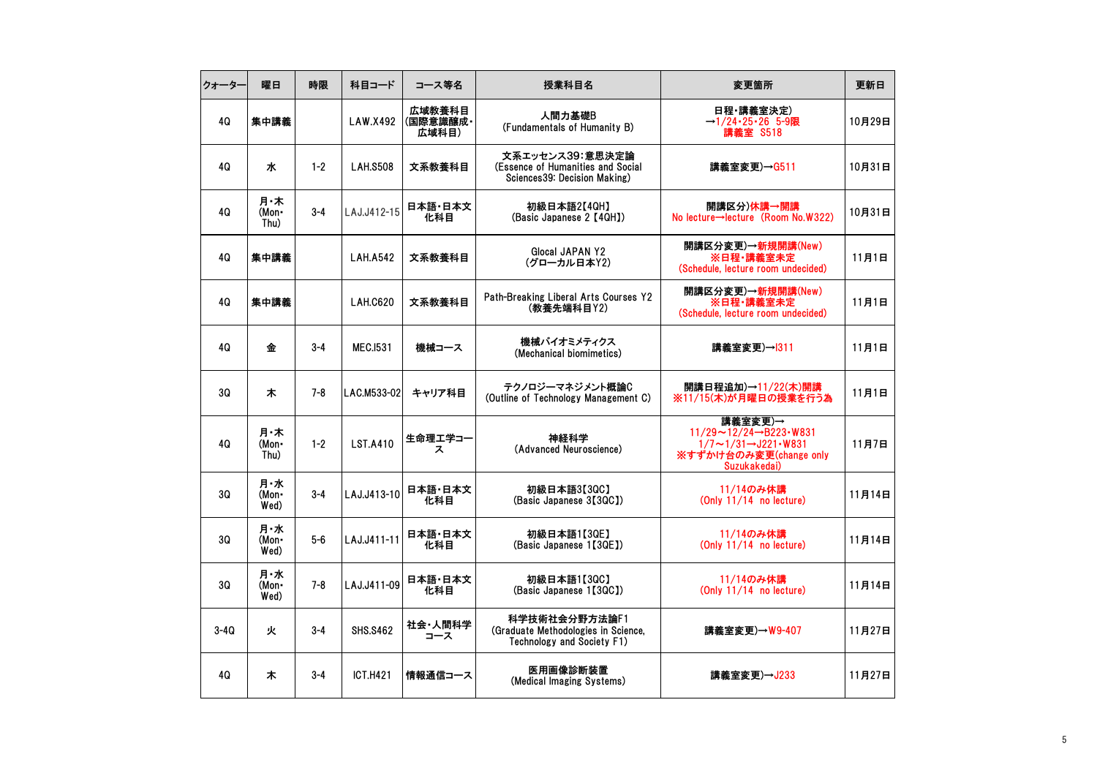| クォーター  | 曜日                   | 時限      | 科目コード           | コース等名                       | 授業科目名                                                                                | 変更箇所                                                                                                                                               | 更新日    |
|--------|----------------------|---------|-----------------|-----------------------------|--------------------------------------------------------------------------------------|----------------------------------------------------------------------------------------------------------------------------------------------------|--------|
| 40     | 集中講義                 |         | LAW.X492        | 広域教養科目<br>(国際意識醸成・<br>広域科目) | 人間力基礎B<br>(Fundamentals of Humanity B)                                               | 日程・講義室決定)<br>$\rightarrow$ 1/24 · 25 · 26 5 - 9限<br>講義室 S518                                                                                       | 10月29日 |
| 4Q     | ж                    | $1 - 2$ | <b>LAH.S508</b> | 文系教養科目                      | 文系エッセンス39:意思決定論<br>(Essence of Humanities and Social<br>Sciences39: Decision Making) | 講義室変更)→G511                                                                                                                                        | 10月31日 |
| 40     | 月・木<br>(Mon-<br>Thu) | $3 - 4$ | LAJ.J412-15     | 日本語·日本文<br>化科目              | 初級日本語2【4QH】<br>(Basic Japanese 2 [4QH])                                              | 開講区分)休講→開講<br>No lecture→lecture (Room No.W322)                                                                                                    | 10月31日 |
| 4Q     | 集中講義                 |         | <b>LAH.A542</b> | 文系教養科目                      | Glocal JAPAN Y2<br>(グローカル日本Y2)                                                       | 開講区分変更)→新規開講(New)<br>※日程・講義室未定<br>(Schedule, lecture room undecided)                                                                               | 11月1日  |
| 40     | 集中講義                 |         | LAH.C620        | 文系教養科目                      | Path-Breaking Liberal Arts Courses Y2<br>(教養先端科目Y2)                                  | 開講区分変更)→新規開講(New)<br>※日程·講義室未定<br>(Schedule, lecture room undecided)                                                                               | 11月1日  |
| 4Q     | 金                    | $3 - 4$ | <b>MEC.1531</b> | 機械コース                       | 機械バイオミメティクス<br>(Mechanical biomimetics)                                              | 講義室変更)→1311                                                                                                                                        | 11月1日  |
| 30     | 木                    | $7 - 8$ | LAC.M533-02     | キャリア科目                      | テクノロジーマネジメント概論C<br>(Outline of Technology Management C)                              | 開講日程追加)→11/22(木)開講<br>※11/15(木)が月曜日の授業を行う為                                                                                                         | 11月1日  |
| 4Q     | 月・木<br>(Mon-<br>Thu) | $1 - 2$ | <b>LST.A410</b> | 生命理工学コー<br>ス                | 神経科学<br>(Advanced Neuroscience)                                                      | 講義室変更)→<br>$11/29 \sim 12/24 \rightarrow B223 \cdot W831$<br>$1/7 \sim 1/31 \rightarrow 1221 \cdot W831$<br>※すずかけ台のみ変更(change_only<br>Suzukakedai) | 11月7日  |
| 3Q     | 月・水<br>(Mon•<br>Wed) | $3 - 4$ | LAJ.J413-10     | 日本語·日本文<br>化科目              | 初級日本語3【3QC】<br>(Basic Japanese 3[3QC])                                               | 11/14のみ休講<br>(Only 11/14 no lecture)                                                                                                               | 11月14日 |
| 30     | 月・水<br>(Mon-<br>Wed) | $5-6$   | LAJ.J411-11     | 日本語・日本文<br>化科目              | 初級日本語1【3QE】<br>(Basic Japanese 1【3QE】)                                               | 11/14のみ休講<br>(Only 11/14 no lecture)                                                                                                               | 11月14日 |
| 3Q     | 月・水<br>(Mon•<br>Wed) | $7 - 8$ | LAJ.J411-09     | 日本語・日本文<br>化科目              | 初級日本語1【3QC】<br>(Basic Japanese 1【3QC】)                                               | 11/14のみ休講<br>(Only 11/14 no lecture)                                                                                                               | 11月14日 |
| $3-4Q$ | 火                    | $3 - 4$ | <b>SHS.S462</b> | 社会・人間科学<br>コース              | 科学技術社会分野方法論F1<br>(Graduate Methodologies in Science,<br>Technology and Society F1)   | 講義室変更)→W9-407                                                                                                                                      | 11月27日 |
| 4Q     | 木                    | $3 - 4$ | <b>ICT.H421</b> | 情報通信コース                     | 医用画像診断装置<br>(Medical Imaging Systems)                                                | 講義室変更)→J233                                                                                                                                        | 11月27日 |